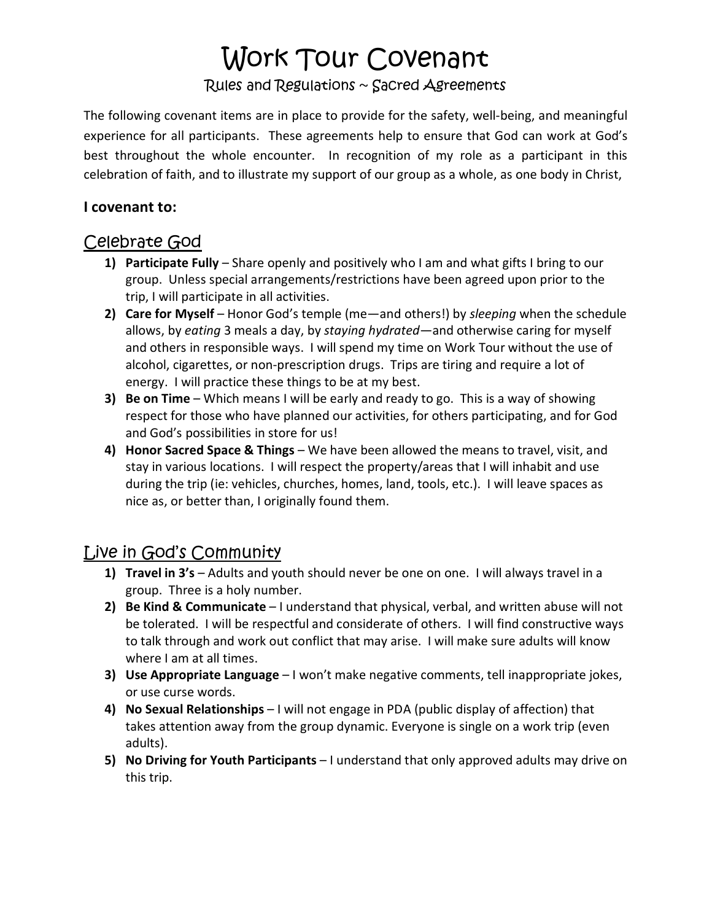## Work Tour Covenant

#### Rules and Regulations ~ Sacred Agreements

The following covenant items are in place to provide for the safety, well-being, and meaningful experience for all participants. These agreements help to ensure that God can work at God's best throughout the whole encounter. In recognition of my role as a participant in this celebration of faith, and to illustrate my support of our group as a whole, as one body in Christ,

#### **I covenant to:**

### Celebrate God

- **1) Participate Fully** Share openly and positively who I am and what gifts I bring to our group. Unless special arrangements/restrictions have been agreed upon prior to the trip, I will participate in all activities.
- **2) Care for Myself**  Honor God's temple (me—and others!) by *sleeping* when the schedule allows, by *eating* 3 meals a day, by *staying hydrated*—and otherwise caring for myself and others in responsible ways. I will spend my time on Work Tour without the use of alcohol, cigarettes, or non-prescription drugs. Trips are tiring and require a lot of energy. I will practice these things to be at my best.
- **3) Be on Time** Which means I will be early and ready to go. This is a way of showing respect for those who have planned our activities, for others participating, and for God and God's possibilities in store for us!
- **4) Honor Sacred Space & Things** We have been allowed the means to travel, visit, and stay in various locations. I will respect the property/areas that I will inhabit and use during the trip (ie: vehicles, churches, homes, land, tools, etc.). I will leave spaces as nice as, or better than, I originally found them.

### Live in God's Community

- **1) Travel in 3's** Adults and youth should never be one on one. I will always travel in a group. Three is a holy number.
- **2) Be Kind & Communicate** I understand that physical, verbal, and written abuse will not be tolerated. I will be respectful and considerate of others. I will find constructive ways to talk through and work out conflict that may arise. I will make sure adults will know where I am at all times.
- **3) Use Appropriate Language** I won't make negative comments, tell inappropriate jokes, or use curse words.
- **4) No Sexual Relationships** I will not engage in PDA (public display of affection) that takes attention away from the group dynamic. Everyone is single on a work trip (even adults).
- **5) No Driving for Youth Participants** I understand that only approved adults may drive on this trip.